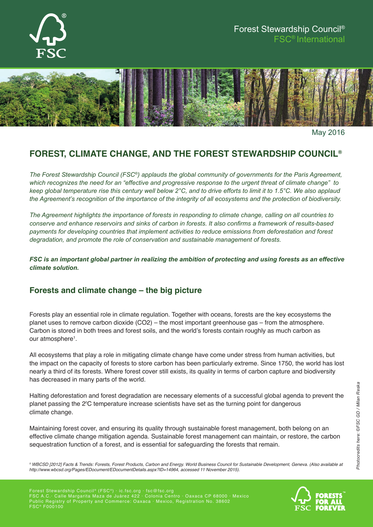

# Forest Stewardship Council® FSC® International



May 2016

# **Forest, Climate Change, and the Forest Stewardship Council®**

*The Forest Stewardship Council (FSC®) applauds the global community of governments for the Paris Agreement, which recognizes the need for an "effective and progressive response to the urgent threat of climate change" to keep global temperature rise this century well below 2°C, and to drive efforts to limit it to 1.5°C. We also applaud the Agreement's recognition of the importance of the integrity of all ecosystems and the protection of biodiversity.*

*The Agreement highlights the importance of forests in responding to climate change, calling on all countries to conserve and enhance reservoirs and sinks of carbon in forests. It also confirms a framework of results-based payments for developing countries that implement activities to reduce emissions from deforestation and forest degradation, and promote the role of conservation and sustainable management of forests.* 

*FSC is an important global partner in realizing the ambition of protecting and using forests as an effective climate solution.*

### **Forests and climate change – the big picture**

Forests play an essential role in climate regulation. Together with oceans, forests are the key ecosystems the planet uses to remove carbon dioxide (CO2) – the most important greenhouse gas – from the atmosphere. Carbon is stored in both trees and forest soils, and the world's forests contain roughly as much carbon as our atmosphere<sup>1</sup>.

All ecosystems that play a role in mitigating climate change have come under stress from human activities, but the impact on the capacity of forests to store carbon has been particularly extreme. Since 1750, the world has lost nearly a third of its forests. Where forest cover still exists, its quality in terms of carbon capture and biodiversity has decreased in many parts of the world.

Halting deforestation and forest degradation are necessary elements of a successful global agenda to prevent the planet passing the 2⁰C temperature increase scientists have set as the turning point for dangerous climate change.

Maintaining forest cover, and ensuring its quality through sustainable forest management, both belong on an effective climate change mitigation agenda. Sustainable forest management can maintain, or restore, the carbon sequestration function of a forest, and is essential for safeguarding the forests that remain.

Forest Stewardship Council ® (FSC ®) · ic.fsc.org · fsc@fsc.org FSC A.C.· Calle Margarita Maza de Juárez 422 · Colonia Centro · Oaxaca CP 68000 · Mexico Public Registry of Property and Commerce: Oaxaca · Mexico, Registration No. 38602  $\mathsf{FSC}^\circledast$  F000100



*<sup>1</sup> WBCSD [2012] Facts & Trends: Forests, Forest Products, Carbon and Energy. World Business Council for Sustainable Development, Geneva. (Also available at http://www.wbcsd.org/Pages/EDocument/EDocumentDetails.aspx?ID=14964, accessed 11 November 2015).*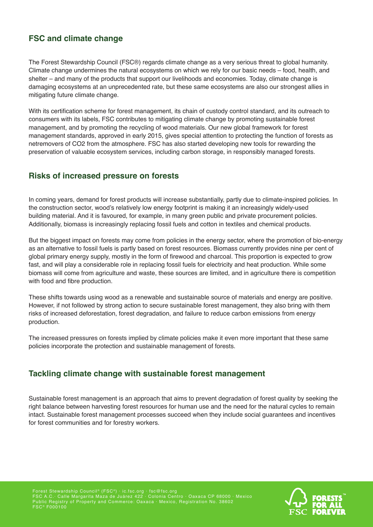# **FSC and climate change**

The Forest Stewardship Council (FSC®) regards climate change as a very serious threat to global humanity. Climate change undermines the natural ecosystems on which we rely for our basic needs – food, health, and shelter – and many of the products that support our livelihoods and economies. Today, climate change is damaging ecosystems at an unprecedented rate, but these same ecosystems are also our strongest allies in mitigating future climate change.

With its certification scheme for forest management, its chain of custody control standard, and its outreach to consumers with its labels, FSC contributes to mitigating climate change by promoting sustainable forest management, and by promoting the recycling of wood materials. Our new global framework for forest management standards, approved in early 2015, gives special attention to protecting the function of forests as netremovers of CO2 from the atmosphere. FSC has also started developing new tools for rewarding the preservation of valuable ecosystem services, including carbon storage, in responsibly managed forests.

### **Risks of increased pressure on forests**

In coming years, demand for forest products will increase substantially, partly due to climate-inspired policies. In the construction sector, wood's relatively low energy footprint is making it an increasingly widely-used building material. And it is favoured, for example, in many green public and private procurement policies. Additionally, biomass is increasingly replacing fossil fuels and cotton in textiles and chemical products.

But the biggest impact on forests may come from policies in the energy sector, where the promotion of bio-energy as an alternative to fossil fuels is partly based on forest resources. Biomass currently provides nine per cent of global primary energy supply, mostly in the form of firewood and charcoal. This proportion is expected to grow fast, and will play a considerable role in replacing fossil fuels for electricity and heat production. While some biomass will come from agriculture and waste, these sources are limited, and in agriculture there is competition with food and fibre production.

These shifts towards using wood as a renewable and sustainable source of materials and energy are positive. However, if not followed by strong action to secure sustainable forest management, they also bring with them risks of increased deforestation, forest degradation, and failure to reduce carbon emissions from energy production.

The increased pressures on forests implied by climate policies make it even more important that these same policies incorporate the protection and sustainable management of forests.

#### **Tackling climate change with sustainable forest management**

Sustainable forest management is an approach that aims to prevent degradation of forest quality by seeking the right balance between harvesting forest resources for human use and the need for the natural cycles to remain intact. Sustainable forest management processes succeed when they include social guarantees and incentives for forest communities and for forestry workers.

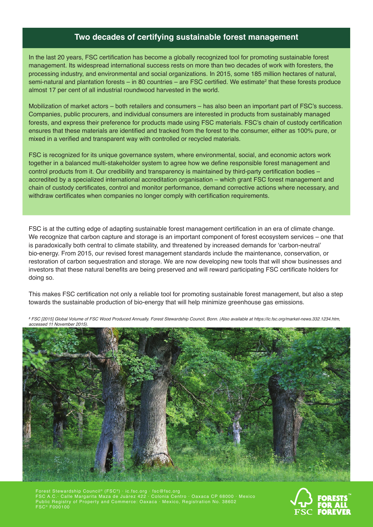#### **Two decades of certifying sustainable forest management**

In the last 20 years, FSC certification has become a globally recognized tool for promoting sustainable forest management. Its widespread international success rests on more than two decades of work with foresters, the processing industry, and environmental and social organizations. In 2015, some 185 million hectares of natural, semi-natural and plantation forests – in 80 countries – are FSC certified. We estimate $^2$  that these forests produce almost 17 per cent of all industrial roundwood harvested in the world.

Mobilization of market actors – both retailers and consumers – has also been an important part of FSC's success. Companies, public procurers, and individual consumers are interested in products from sustainably managed forests, and express their preference for products made using FSC materials. FSC's chain of custody certification ensures that these materials are identified and tracked from the forest to the consumer, either as 100% pure, or mixed in a verified and transparent way with controlled or recycled materials.

FSC is recognized for its unique governance system, where environmental, social, and economic actors work together in a balanced multi-stakeholder system to agree how we define responsible forest management and control products from it. Our credibility and transparency is maintained by third-party certification bodies – accredited by a specialized international accreditation organisation – which grant FSC forest management and chain of custody certificates, control and monitor performance, demand corrective actions where necessary, and withdraw certificates when companies no longer comply with certification requirements.

FSC is at the cutting edge of adapting sustainable forest management certification in an era of climate change. We recognize that carbon capture and storage is an important component of forest ecosystem services – one that is paradoxically both central to climate stability, and threatened by increased demands for 'carbon-neutral' bio-energy. From 2015, our revised forest management standards include the maintenance, conservation, or restoration of carbon sequestration and storage. We are now developing new tools that will show businesses and investors that these natural benefits are being preserved and will reward participating FSC certificate holders for doing so.

This makes FSC certification not only a reliable tool for promoting sustainable forest management, but also a step towards the sustainable production of bio-energy that will help minimize greenhouse gas emissions.



*<sup>2</sup> FSC [2015] Global Volume of FSC Wood Produced Annually. Forest Stewardship Council, Bonn. (Also available at https://ic.fsc.org/market-news.332.1234.htm, accessed 11 November 2015).*

Forest Stewardship Council® (FSC®)  $\cdot$  ic.fsc.org  $\cdot$  fsc@fsc.org FSC A.C.· Calle Margarita Maza de Juárez 422 · Colonia Centro · Oaxaca CP 68000 · Mexico Public Registry of Property and Commerce: Oaxaca · Mexico, Registration No. 38602  $\mathsf{FSC}^\circledast$  F000100